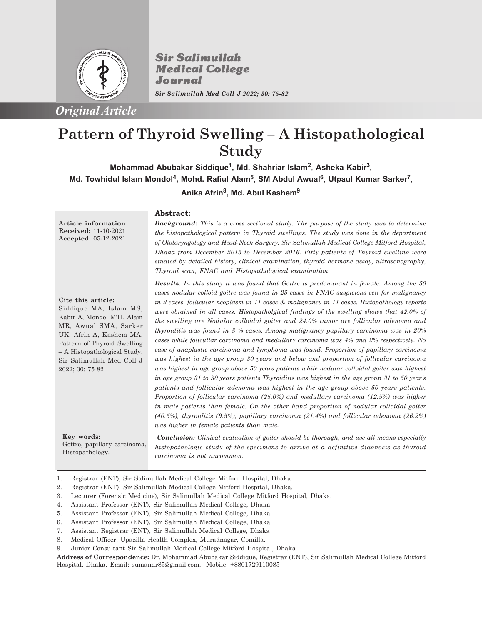

**Sir Salimullah Medical College** Journal

*Sir Salimullah Med Coll J 2022; 30: 75-82*

# **Pattern of Thyroid Swelling – A Histopathological Study**

**Anika Afrin<sup>8</sup> , Md. Abul Kashem<sup>9</sup> Mohammad Abubakar Siddique<sup>1</sup> , Md. Shahriar Islam<sup>2</sup>** , **Asheka Kabir<sup>3</sup> , Md. Towhidul Islam Mondol<sup>4</sup> , Mohd. Rafiul Alam<sup>5</sup>** , **SM Abdul Awual<sup>6</sup>** , **Utpaul Kumar Sarker<sup>7</sup>** ,

### **Abstract:**

**Article information Received:** 11-10-2021 **Accepted:** 05-12-2021

**Cite this article:** Siddique MA, Islam MS, Kabir A, Mondol MTI, Alam MR, Awual SMA, Sarker

UK, Afrin A, Kashem MA. Pattern of Thyroid Swelling – A Histopathological Study. Sir Salimullah Med Coll J 2022; 30: 75-82

**Key words:** Goitre, papillary carcinoma, Histopathology.

*Background: This is a cross sectional study. The purpose of the study was to determine the histopathological pattern in Thyroid swellings. The study was done in the department of Otolaryngology and Head-Neck Surgery, Sir Salimullah Medical College Mitford Hospital, Dhaka from December 2015 to December 2016. Fifty patients of Thyroid swelling were studied by detailed history, clinical examination, thyroid hormone assay, ultrasonography, Thyroid scan, FNAC and Histopathological examination.*

*Results: In this study it was found that Goitre is predominant in female. Among the 50 cases nodular colloid goitre was found in 25 cases in FNAC suspicious cell for malignancy in 2 cases, follicular neoplasm in 11 cases & malignancy in 11 cases. Histopathology reports were obtained in all cases. Histopatholgical findings of the swelling shows that 42.0% of the swelling are Nodular colloidal goiter and 24.0% tumor are follicular adenoma and thyroiditis was found in 8 % cases. Among malignancy papillary carcinoma was in 20% cases while folicullar carcinoma and medullary carcinoma was 4% and 2% respectively. No case of anaplastic carcinoma and lymphoma was found. Proportion of papillary carcinoma was highest in the age group 30 years and below and proportion of follicular carcinoma was highest in age group above 50 years patients while nodular colloidal goiter was highest in age group 31 to 50 years patients.Thyroiditis was highest in the age group 31 to 50 year's patients and follicular adenoma was highest in the age group above 50 years patients. Proportion of follicular carcinoma (25.0%) and medullary carcinoma (12.5%) was higher in male patients than female. On the other hand proportion of nodular colloidal goiter (40.5%), thyroiditis (9.5%), papillary carcinoma (21.4%) and follicular adenoma (26.2%) was higher in female patients than male.*

*Conclusion: Clinical evaluation of goiter should be thorough, and use all means especially histopathologic study of the specimens to arrive at a definitive diagnosis as thyroid carcinoma is not uncommon.*

- 1. Registrar (ENT), Sir Salimullah Medical College Mitford Hospital, Dhaka
- 2. Registrar (ENT), Sir Salimullah Medical College Mitford Hospital, Dhaka.
- 3. Lecturer (Forensic Medicine), Sir Salimullah Medical College Mitford Hospital, Dhaka.
- 4. Assistant Professor (ENT), Sir Salimullah Medical College, Dhaka.
- 5. Assistant Professor (ENT), Sir Salimullah Medical College, Dhaka.
- 6. Assistant Professor (ENT), Sir Salimullah Medical College, Dhaka.
- 7. Assistant Registrar (ENT), Sir Salimullah Medical College, Dhaka
- 8. Medical Officer, Upazilla Health Complex, Muradnagar, Comilla.
- 9. Junior Consultant Sir Salimullah Medical College Mitford Hospital, Dhaka

**Address of Correspondence:** Dr. Mohammad Abubakar Siddique, Registrar (ENT), Sir Salimullah Medical College Mitford Hospital, Dhaka. Email: sumandr85@gmail.com. Mobile: +8801729110085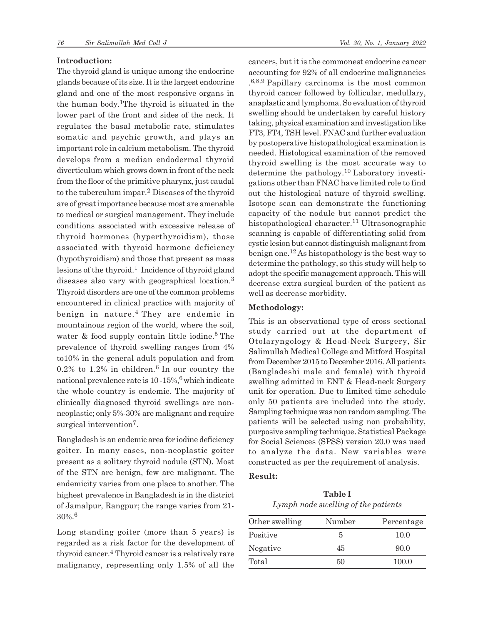#### **Introduction:**

The thyroid gland is unique among the endocrine glands because of its size. It is the largest endocrine gland and one of the most responsive organs in the human body.1The thyroid is situated in the lower part of the front and sides of the neck. It regulates the basal metabolic rate, stimulates somatic and psychic growth, and plays an important role in calcium metabolism. The thyroid develops from a median endodermal thyroid diverticulum which grows down in front of the neck from the floor of the primitive pharynx, just caudal to the tuberculum impar.<sup>2</sup> Diseases of the thyroid are of great importance because most are amenable to medical or surgical management. They include conditions associated with excessive release of thyroid hormones (hyperthyroidism), those associated with thyroid hormone deficiency (hypothyroidism) and those that present as mass lesions of the thyroid.<sup>1</sup> Incidence of thyroid gland diseases also vary with geographical location.<sup>3</sup> Thyroid disorders are one of the common problems encountered in clinical practice with majority of benign in nature.<sup>4</sup> They are endemic in mountainous region of the world, where the soil, water & food supply contain little iodine.<sup>5</sup> The prevalence of thyroid swelling ranges from 4% to10% in the general adult population and from  $0.2\%$  to 1.2% in children.<sup>6</sup> In our country the national prevalence rate is  $10 - 15\%,$ <sup>6</sup> which indicate the whole country is endemic. The majority of clinically diagnosed thyroid swellings are nonneoplastic; only 5%-30% are malignant and require surgical intervention<sup>7</sup>.

Bangladesh is an endemic area for iodine deficiency goiter. In many cases, non-neoplastic goiter present as a solitary thyroid nodule (STN). Most of the STN are benign, few are malignant. The endemicity varies from one place to another. The highest prevalence in Bangladesh is in the district of Jamalpur, Rangpur; the range varies from 21- 30%.<sup>6</sup>

Long standing goiter (more than 5 years) is regarded as a risk factor for the development of thyroid cancer.<sup>4</sup> Thyroid cancer is a relatively rare malignancy, representing only 1.5% of all the cancers, but it is the commonest endocrine cancer accounting for 92% of all endocrine malignancies . 6,8,9 Papillary carcinoma is the most common thyroid cancer followed by follicular, medullary, anaplastic and lymphoma. So evaluation of thyroid swelling should be undertaken by careful history taking, physical examination and investigation like FT3, FT4, TSH level. FNAC and further evaluation by postoperative histopathological examination is needed. Histological examination of the removed thyroid swelling is the most accurate way to determine the pathology.10 Laboratory investigations other than FNAC have limited role to find out the histological nature of thyroid swelling. Isotope scan can demonstrate the functioning capacity of the nodule but cannot predict the histopathological character.<sup>11</sup> Ultrasonographic scanning is capable of differentiating solid from cystic lesion but cannot distinguish malignant from benign one.12 As histopathology is the best way to determine the pathology, so this study will help to adopt the specific management approach. This will decrease extra surgical burden of the patient as well as decrease morbidity.

### **Methodology:**

This is an observational type of cross sectional study carried out at the department of Otolaryngology & Head-Neck Surgery, Sir Salimullah Medical College and Mitford Hospital from December 2015 to December 2016. All patients (Bangladeshi male and female) with thyroid swelling admitted in ENT & Head-neck Surgery unit for operation. Due to limited time schedule only 50 patients are included into the study. Sampling technique was non random sampling. The patients will be selected using non probability, purposive sampling technique. Statistical Package for Social Sciences (SPSS) version 20.0 was used to analyze the data. New variables were constructed as per the requirement of analysis.

### **Result:**

**Table I** *Lymph node swelling of the patients*

| Other swelling | Number | Percentage |  |
|----------------|--------|------------|--|
| Positive       | 5      | 10.0       |  |
| Negative       | 45     | 90.0       |  |
| Total          | 50     | 100.0      |  |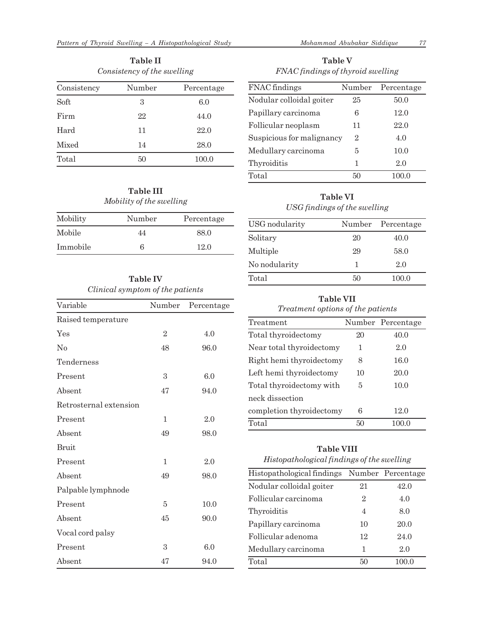| <b>Table II</b><br>Consistency of the swelling |        |            |  |  |  |
|------------------------------------------------|--------|------------|--|--|--|
| Consistency                                    | Number | Percentage |  |  |  |
| Soft                                           | 3      | 6.0        |  |  |  |
| Firm                                           | 22     | 44.0       |  |  |  |
| Hard                                           | 11     | 22.0       |  |  |  |
| Mixed                                          | 14     | 28.0       |  |  |  |
| Total                                          | 50     | 100.0      |  |  |  |

## **Table III** *Mobility of the swelling*

| Mobility | Number | Percentage |
|----------|--------|------------|
| Mobile   | 44     | 88.0       |
| Immobile | 6      | 12.0       |

# **Table IV** *Clinical symptom of the patients*

| Variable               | Number         | Percentage |  |
|------------------------|----------------|------------|--|
| Raised temperature     |                |            |  |
| Yes                    | $\overline{2}$ | 4.0        |  |
| No                     | 48             | 96.0       |  |
| Tenderness             |                |            |  |
| Present                | 3              | 6.0        |  |
| Absent                 | 47             | 94.0       |  |
| Retrosternal extension |                |            |  |
| Present                | 1              | 2.0        |  |
| Absent                 | 49             | 98.0       |  |
| <b>Bruit</b>           |                |            |  |
| Present                | 1              | 2.0        |  |
| Absent                 | 49             | 98.0       |  |
| Palpable lymphnode     |                |            |  |
| Present                | 5              | 10.0       |  |
| Absent                 | 45             | 90.0       |  |
| Vocal cord palsy       |                |            |  |
| Present                | 3              | 6.0        |  |
| Absent                 | 47             | 94.0       |  |

**Table V** *FNAC findings of thyroid swelling*

| FNAC findings             | Number | Percentage |  |
|---------------------------|--------|------------|--|
| Nodular colloidal goiter  | 25     | 50.0       |  |
| Papillary carcinoma       | 6      | 12.0       |  |
| Follicular neoplasm       | 11     | 22.0       |  |
| Suspicious for malignancy | 2      | 4.0        |  |
| Medullary carcinoma       | 5      | 10.0       |  |
| Thyroiditis               | 1      | 2.0        |  |
| Total                     | 50     | 100.0      |  |

# **Table VI** *USG findings of the swelling*

| USG nodularity | Number | Percentage |
|----------------|--------|------------|
| Solitary       | 20     | 40.0       |
| Multiple       | 29     | 58.0       |
| No nodularity  | 1      | 2.0        |
| Total          | 50     | 100.0      |

### **Table VII**

### *Treatment options of the patients*

| Treatment                |    | Number Percentage |
|--------------------------|----|-------------------|
| Total thyroidectomy      | 20 | 40.0              |
| Near total thyroidectomy | 1  | 2.0               |
| Right hemi thyroidectomy | 8  | 16.0              |
| Left hemi thyroidectomy  | 10 | 20.0              |
| Total thyroidectomy with | 5  | 10.0              |
| neck dissection          |    |                   |
| completion thyroidectomy | 6  | 12.0              |
| Total                    | 50 | 100.0             |

### **Table VIII**

| Histopathological findings of the swelling |    |                   |  |  |  |  |  |
|--------------------------------------------|----|-------------------|--|--|--|--|--|
| Histopathological findings                 |    | Number Percentage |  |  |  |  |  |
| Nodular colloidal goiter                   | 21 | 42.0              |  |  |  |  |  |
| Follicular carcinoma                       | 2  | 4.0               |  |  |  |  |  |
| Thyroiditis                                | 4  | 8.0               |  |  |  |  |  |
| Papillary carcinoma                        | 10 | 20.0              |  |  |  |  |  |
| Follicular adenoma                         | 12 | 24.0              |  |  |  |  |  |
| Medullary carcinoma                        | 1  | 2.0               |  |  |  |  |  |
| Total                                      | 50 | 100.0             |  |  |  |  |  |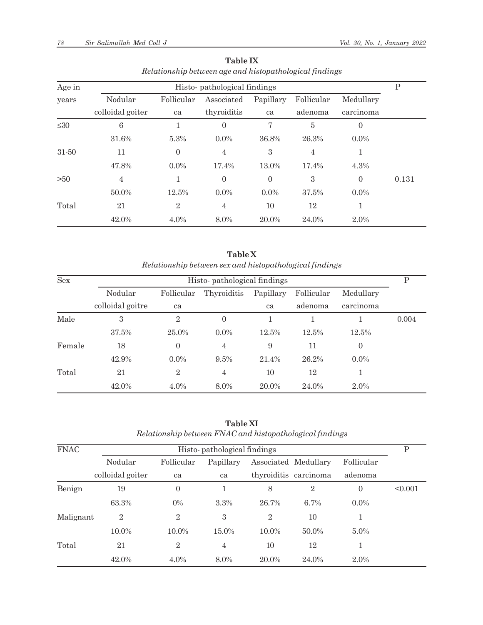| Age in    | Histo-pathological findings |                  |                |           |                |                | Ρ     |
|-----------|-----------------------------|------------------|----------------|-----------|----------------|----------------|-------|
| years     | Nodular                     | Follicular       | Associated     | Papillary | Follicular     | Medullary      |       |
|           | colloidal goiter            | ca               | thyroiditis    | ca        | adenoma        | carcinoma      |       |
| $\leq 30$ | 6                           |                  | $\Omega$       | 7         | 5              | $\overline{0}$ |       |
|           | 31.6%                       | 5.3%             | $0.0\%$        | 36.8%     | 26.3%          | $0.0\%$        |       |
| 31-50     | 11                          | $\boldsymbol{0}$ | $\overline{4}$ | 3         | $\overline{4}$ |                |       |
|           | 47.8%                       | $0.0\%$          | 17.4%          | 13.0%     | 17.4%          | 4.3%           |       |
| >50       | $\overline{4}$              | 1                | $\Omega$       | $\theta$  | 3              | $\Omega$       | 0.131 |
|           | 50.0%                       | 12.5%            | $0.0\%$        | $0.0\%$   | 37.5%          | $0.0\%$        |       |
| Total     | 21                          | $\overline{2}$   | $\overline{4}$ | 10        | 12             |                |       |
|           | 42.0%                       | $4.0\%$          | 8.0%           | 20.0%     | 24.0%          | $2.0\%$        |       |

**Table IX** *Relationship between age and histopathological findings*

**Table X** *Relationship between sex and histopathological findings*

| <b>Sex</b> | Histo-pathological findings |                |                |           |            |           |       |
|------------|-----------------------------|----------------|----------------|-----------|------------|-----------|-------|
|            | Nodular                     | Follicular     | Thyroiditis    | Papillary | Follicular | Medullary |       |
|            | colloidal goitre            | ca             |                | ca        | adenoma    | carcinoma |       |
| Male       | 3                           | $\overline{2}$ | $\Omega$       |           |            |           | 0.004 |
|            | 37.5%                       | 25.0%          | $0.0\%$        | 12.5%     | 12.5%      | 12.5%     |       |
| Female     | 18                          | $\overline{0}$ | $\overline{4}$ | 9         | 11         | $\theta$  |       |
|            | 42.9%                       | $0.0\%$        | $9.5\%$        | 21.4%     | 26.2%      | $0.0\%$   |       |
| Total      | 21                          | $\overline{2}$ | $\overline{4}$ | 10        | 12         |           |       |
|            | 42.0%                       | $4.0\%$        | 8.0%           | 20.0%     | 24.0%      | $2.0\%$   |       |

**Table XI** *Relationship between FNAC and histopathological findings*

| <b>FNAC</b> | Histo-pathological findings |                |                |                |                       |            | P       |
|-------------|-----------------------------|----------------|----------------|----------------|-----------------------|------------|---------|
|             | Nodular                     | Follicular     | Papillary      |                | Associated Medullary  | Follicular |         |
|             | colloidal goiter            | ca             | ca             |                | thyroiditis carcinoma | adenoma    |         |
| Benign      | 19                          | $\overline{0}$ |                | 8              | $\overline{2}$        | $\Omega$   | < 0.001 |
|             | 63.3%                       | $0\%$          | 3.3%           | 26.7%          | 6.7%                  | $0.0\%$    |         |
| Malignant   | $\overline{2}$              | $\overline{2}$ | 3              | $\overline{2}$ | 10                    | 1          |         |
|             | $10.0\%$                    | $10.0\%$       | $15.0\%$       | $10.0\%$       | 50.0%                 | $5.0\%$    |         |
| Total       | 21                          | $\overline{2}$ | $\overline{4}$ | 10             | 12                    | 1          |         |
|             | 42.0%                       | $4.0\%$        | 8.0%           | 20.0%          | 24.0%                 | $2.0\%$    |         |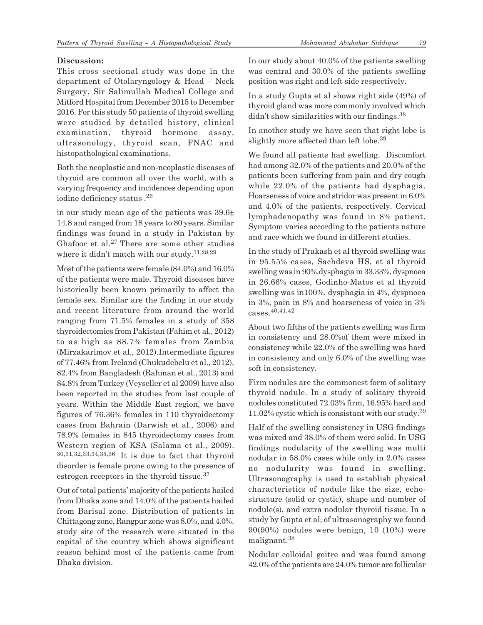### **Discussion:**

This cross sectional study was done in the department of Otolaryngology & Head – Neck Surgery, Sir Salimullah Medical College and Mitford Hospital from December 2015 to December 2016. For this study 50 patients of thyroid swelling were studied by detailed history, clinical examination, thyroid hormone assay, ultrasonology, thyroid scan, FNAC and histopathological examinations.

Both the neoplastic and non-neoplastic diseases of thyroid are common all over the world, with a varying frequency and incidences depending upon iodine deficiency status .<sup>26</sup>

in our study mean age of the patients was 39.6± 14.8 and ranged from 18 years to 80 years. Similar findings was found in a study in Pakistan by Ghafoor et al.27 There are some other studies where it didn't match with our study.11,28,29

Most of the patients were female (84.0%) and 16.0% of the patients were male. Thyroid diseases have historically been known primarily to affect the female sex. Similar are the finding in our study and recent literature from around the world ranging from 71.5% females in a study of 358 thyroidectomies from Pakistan (Fahim et al., 2012) to as high as 88.7% females from Zambia (Mirzakarimov et al., 2012).Intermediate figures of 77.46% from Ireland (Chukudebelu et al., 2012), 82.4% from Bangladesh (Rahman et al., 2013) and 84.8% from Turkey (Veyseller et al 2009) have also been reported in the studies from last couple of years. Within the Middle East region, we have figures of 76.36% females in 110 thyroidectomy cases from Bahrain (Darwish et al., 2006) and 78.9% females in 845 thyroidectomy cases from Western region of KSA (Salama et al., 2009). 30,31,32,33,34,35,36 It is due to fact that thyroid disorder is female prone owing to the presence of estrogen receptors in the thyroid tissue.<sup>37</sup>

Out of total patients' majority of the patients hailed from Dhaka zone and 14.0% of the patients hailed from Barisal zone. Distribution of patients in Chittagong zone, Rangpur zone was 8.0%, and 4.0%. study site of the research were situated in the capital of the country which shows significant reason behind most of the patients came from Dhaka division.

In our study about 40.0% of the patients swelling was central and 30.0% of the patients swelling position was right and left side respectively.

In a study Gupta et al shows right side (49%) of thyroid gland was more commonly involved which didn't show similarities with our findings.<sup>38</sup>

In another study we have seen that right lobe is slightly more affected than left lobe.<sup>39</sup>

We found all patients had swelling. Discomfort had among 32.0% of the patients and 20.0% of the patients been suffering from pain and dry cough while 22.0% of the patients had dysphagia. Hoarseness of voice and stridor was present in 6.0% and 4.0% of the patients, respectively. Cervical lymphadenopathy was found in 8% patient. Symptom varies according to the patients nature and race which we found in different studies.

In the study of Prakash et al thyroid swelling was in 95.55% cases, Sachdeva HS, et al thyroid swelling was in 90%,dysphagia in 33.33%, dyspnoea in 26.66% cases, Godinho-Matos et al thyroid swelling was in100%, dysphagia in 4%, dyspnoea in 3%, pain in 8% and hoarseness of voice in 3% cases.40,41,42

About two fifths of the patients swelling was firm in consistency and 28.0%of them were mixed in consistency while 22.0% of the swelling was hard in consistency and only 6.0% of the swelling was soft in consistency.

Firm nodules are the commonest form of solitary thyroid nodule. In a study of solitary thyroid nodules constituted 72.03% firm, 16.95% hard and 11.02% cystic which is consistant with our study.<sup>39</sup>

Half of the swelling consistency in USG findings was mixed and 38.0% of them were solid. In USG findings nodularity of the swelling was multi nodular in 58.0% cases while only in 2.0% cases no nodularity was found in swelling. Ultrasonography is used to establish physical characteristics of nodule like the size, echostructure (solid or cystic), shape and number of nodule(s), and extra nodular thyroid tissue. In a study by Gupta et al, of ultrasonography we found 90(90%) nodules were benign, 10 (10%) were malignant.<sup>38</sup>

Nodular colloidal goitre and was found among 42.0% of the patients are 24.0% tumor are follicular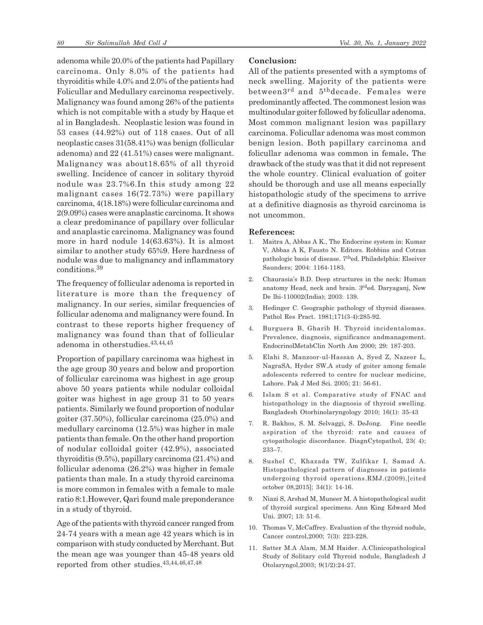adenoma while 20.0% of the patients had Papillary carcinoma. Only 8.0% of the patients had thyroiditis while 4.0% and 2.0% of the patients had Folicullar and Medullary carcinoma respectively. Malignancy was found among 26% of the patients which is not compitable with a study by Haque et al in Bangladesh. Neoplastic lesion was found in 53 cases (44.92%) out of 118 cases. Out of all neoplastic cases 31(58.41%) was benign (follicular adenoma) and 22 (41.51%) cases were malignant. Malignancy was about18.65% of all thyroid swelling. Incidence of cancer in solitary thyroid nodule was 23.7%6.In this study among 22 malignant cases 16(72.73%) were papillary carcinoma, 4(18.18%) were follicular carcinoma and 2(9.09%) cases were anaplastic carcinoma. It shows a clear predominance of papillary over follicular and anaplastic carcinoma. Malignancy was found more in hard nodule 14(63.63%). It is almost similar to another study 65%9. Here hardness of nodule was due to malignancy and inflammatory conditions.<sup>39</sup>

The frequency of follicular adenoma is reported in literature is more than the frequency of malignancy. In our series, similar frequencies of follicular adenoma and malignancy were found. In contrast to these reports higher frequency of malignancy was found than that of follicular adenoma in otherstudies.43,44,45

Proportion of papillary carcinoma was highest in the age group 30 years and below and proportion of follicular carcinoma was highest in age group above 50 years patients while nodular colloidal goiter was highest in age group 31 to 50 years patients. Similarly we found proportion of nodular goiter (37.50%), follicular carcinoma (25.0%) and medullary carcinoma (12.5%) was higher in male patients than female. On the other hand proportion of nodular colloidal goiter (42.9%), associated thyroiditis (9.5%), papillary carcinoma (21.4%) and follicular adenoma (26.2%) was higher in female patients than male. In a study thyroid carcinoma is more common in females with a female to male ratio 8:1.However, Qari found male preponderance in a study of thyroid.

Age of the patients with thyroid cancer ranged from 24-74 years with a mean age 42 years which is in comparison with study conducted by Merchant. But the mean age was younger than 45-48 years old reported from other studies.43,44,46,47,48

### **Conclusion:**

All of the patients presented with a symptoms of neck swelling. Majority of the patients were between3rd and 5thdecade. Females were predominantly affected. The commonest lesion was multinodular goiter followed by folicullar adenoma. Most common malignant lesion was papillary carcinoma. Folicullar adenoma was most common benign lesion. Both papillary carcinoma and folicullar adenoma was common in female**.** The drawback of the study was that it did not represent the whole country. Clinical evaluation of goiter should be thorough and use all means especially histopathologic study of the specimens to arrive at a definitive diagnosis as thyroid carcinoma is not uncommon.

#### **References:**

- 1. Maitra A, Abbas A K., The Endocrine system in: Kumar V, Abbas A K, Fausto N. Editors. Robbins and Cotran pathologic basis of disease. 7thed. Philadelphia: Elseiver Saunders; 2004: 1164-1183.
- 2. Chaurasia's B.D. Deep structures in the neck: Human anatomy Head, neck and brain. 3rded. Daryaganj, New De lhi-110002(India); 2003: 139.
- 3. Hedinger C. Geographic pathology of thyroid diseases. Pathol Res Pract. 1981;171(3-4):285-92.
- 4. Burguera B, Gharib H. Thyroid incidentalomas. Prevalence, diagnosis, significance andmanagement. EndocrinolMetabClin North Am 2000; 29: 187-203.
- 5. Elahi S, Manzoor-ul-Hassan A, Syed Z, Nazeer L, NagraSA, Hyder SW.A study of goiter among female adolescents referred to centre for nuclear medicine, Lahore. Pak J Med Sci. 2005; 21: 56-61.
- 6. Islam S et al. Comparative study of FNAC and histopathology in the diagnosis of thyroid swelling. Bangladesh Otorhinolaryngology 2010; 16(1): 35-43
- 7. R. Bakhos, S. M. Selvaggi, S. DeJong. Fine needle aspiration of the thyroid: rate and causes of cytopathologic discordance. DiagnCytopathol, 23( 4); 233–7.
- 8. Sushel C, Khazada TW, Zulfikar I, Samad A. Histopathological pattern of diagnoses in patients undergoing thyroid operations.RMJ.(2009),[cited october 08,2015]; 34(1): 14-16.
- 9. Niazi S, Arshad M, Muneer M. A histopathological audit of thyroid surgical specimens. Ann King Edward Med Uni. 2007; 13: 51-6.
- 10. Thomas V, McCaffrey. Evaluation of the thyroid nodule, Cancer control,2000; 7(3): 223-228.
- 11. Satter M.A Alam, M.M Haider. A.Clinicopathological Study of Solitary cold Thyroid nodule, Bangladesh J Otolaryngol,2003; 9(1/2):24-27.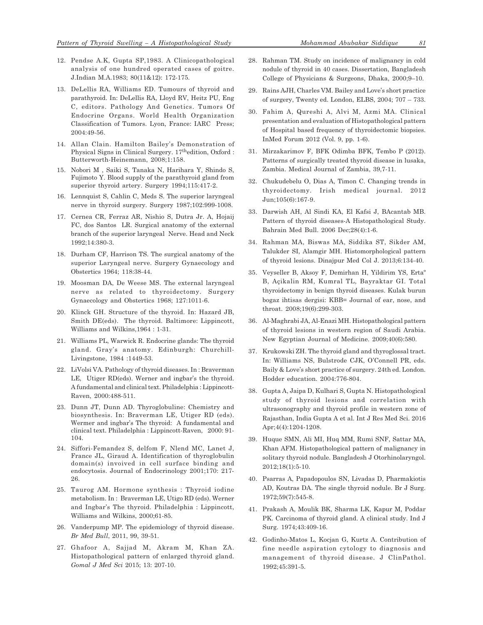- 12. Pendse A.K, Gupta SP,1983. A Clinicopathological analysis of one hundred operated cases of goitre. J.Indian M.A.1983; 80(11&12): 172-175.
- 13. DeLellis RA, Williams ED. Tumours of thyroid and parathyroid. In: DeLellis RA, Lloyd RV, Heitz PU, Eng C, editors. Pathology And Genetics. Tumors Of Endocrine Organs. World Health Organization Classification of Tumors. Lyon, France: IARC Press; 2004:49-56.
- 14. Allan Clain. Hamilton Bailey's Demonstration of Physical Signs in Clinical Surgery. 17thedition, Oxford : Butterworth-Heinemann, 2008;1:158.
- 15. Nobori M , Saiki S, Tanaka N, Harihara Y, Shindo S, Fujimoto Y. Blood supply of the parathyroid gland from superior thyroid artery. Surgery 1994;115:417-2.
- 16. Lennquist S, Cahlin C, Meds S. The superior laryngeal nerve in thyroid surgery. Surgery 1987;102:999-1008.
- 17. Cernea CR, Ferraz AR, Nishio S, Dutra Jr. A, Hojaij FC, dos Santos LR. Surgical anatomy of the external branch of the superior laryngeal Nerve. Head and Neck 1992;14:380-3.
- 18. Durham CF, Harrison TS. The surgical anatomy of the superior Laryngeal nerve. Surgery Gynaecology and Obstertics 1964; 118:38-44.
- 19. Moosman DA, De Weese MS. The external laryngeal nerve as related to thyroidectomy. Surgery Gynaecology and Obstertics 1968; 127:1011-6.
- 20. Klinck GH. Structure of the thyroid. In: Hazard JB, Smith DE(eds). The thyroid. Baltimore: Lippincott, Williams and Wilkins,1964 : 1-31.
- 21. Williams PL, Warwick R. Endocrine glands: The thyroid gland. Gray's anatomy. Edinburgh: Churchill-Livingstone, 1984 :1449-53.
- 22. LiVolsi VA. Pathology of thyroid diseases. In : Braverman LE, Utiger RD(eds). Werner and ingbar's the thyroid. A fundamental and clinical text. Philadelphia : Lippincott-Raven, 2000:488-511.
- 23. Dunn JT, Dunn AD. Thyroglobuline: Chemistry and biosynthesis. In: Braverman LE, Utiger RD (eds). Wermer and ingbar's The thyroid: A fundamental and clinical text. Philadelphia : Lippincott-Raven, 2000: 91- 104.
- 24. Siffori-Femandez S, delfom F, Nlend MC, Lanet J, France JL, Giraud A. Identification of thyroglobulin domain(s) invoived in cell surface binding and endocytosis. Journal of Endocrinology 2001;170: 217- 26.
- 25. Taurog AM. Hormone synthesis : Thyroid iodine metabolism. In : Braverman LE, Utigo RD (eds). Werner and Ingbar's The thyroid. Philadelphia : Lippincott, Williams and Wilkins, 2000;61-85.
- 26. Vanderpump MP. The epidemiology of thyroid disease. *Br Med Bull*, 2011, 99, 39-51.
- 27. Ghafoor A, Sajjad M, Akram M, Khan ZA. Histopathological pattern of enlarged thyroid gland. *Gomal J Med Sci* 2015; 13: 207-10.
- 28. Rahman TM. Study on incidence of malignancy in cold nodule of thyroid in 40 cases. Dissertation, Bangladesh College of Physicians & Surgeons, Dhaka, 2000;9-10.
- 29. Rains AJH, Charles VM. Bailey and Love's short practice of surgery, Twenty ed. London, ELBS, 2004; 707 – 733.
- 30. Fahim A, Qureshi A, Alvi M, Azmi MA. Clinical presentation and evaluation of Histopathological pattern of Hospital based frequency of thyroidectomic biopsies. InMed Forum 2012 (Vol. 9, pp. 1-6).
- 31. Mirzakarimov F, BFK Odimba BFK, Tembo P (2012). Patterns of surgically treated thyroid disease in lusaka, Zambia. Medical Journal of Zambia, 39,7-11.
- 32. Chukudebelu O, Dias A, Timon C. Changing trends in thyroidectomy. Irish medical journal. 2012 Jun;105(6):167-9.
- 33. Darwish AH, Al Sindi KA, El Kafsi J, BAcantab MB. Pattern of thyroid diseases-A Histopathological Study. Bahrain Med Bull. 2006 Dec;28(4):1-6.
- 34. Rahman MA, Biswas MA, Siddika ST, Sikder AM, Talukder SI, Alamgir MH. Histomorphological pattern of thyroid lesions. Dinajpur Med Col J. 2013;6:134-40.
- 35. Veyseller B, Aksoy F, Demirhan H, Yildirim YS, Ertaº B, Açikalin RM, Kumral TL, Bayraktar GI. Total thyroidectomy in benign thyroid diseases. Kulak burun bogaz ihtisas dergisi: KBB= Journal of ear, nose, and throat. 2008;19(6):299-303.
- 36. Al-Maghrabi JA, Al-Enazi MH. Histopathological pattern of thyroid lesions in western region of Saudi Arabia. New Egyptian Journal of Medicine. 2009;40(6):580.
- 37. Krukowski ZH. The thyroid gland and thyroglossal tract. In: Williams NS, Bulstrode CJK, O'Connell PR, eds. Baily & Love's short practice of surgery. 24th ed. London. Hodder education. 2004:776-804.
- 38. Gupta A, Jaipa D, Kulhari S, Gupta N. Histopathological study of thyroid lesions and correlation with ultrasonography and thyroid profile in western zone of Rajasthan, India Gupta A et al. Int J Res Med Sci. 2016 Apr;4(4):1204-1208.
- 39. Huque SMN, Ali MI, Huq MM, Rumi SNF, Sattar MA, Khan AFM. Histopathological pattern of malignancy in solitary thyroid nodule. Bangladesh J Otorhinolaryngol. 2012;18(1):5-10.
- 40. Psarras A, Papadopoulos SN, Livadas D, Pharmakiotis AD, Koutras DA. The single thyroid nodule. Br J Surg. 1972;59(7):545-8.
- 41. Prakash A, Moulik BK, Sharma LK, Kapur M, Poddar PK. Carcinoma of thyroid gland. A clinical study. Ind J Surg. 1974;43:409-16.
- 42. Godinho-Matos L, Kocjan G, Kurtz A. Contribution of fine needle aspiration cytology to diagnosis and management of thyroid disease. J ClinPathol. 1992;45:391-5.